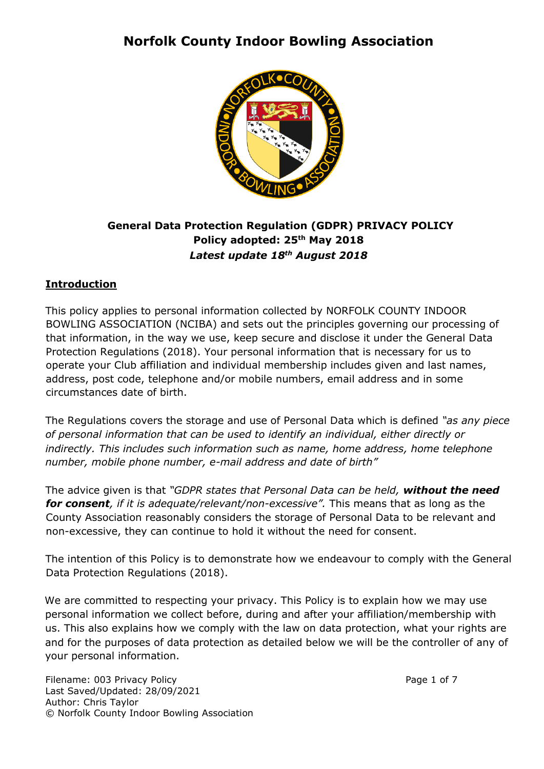

### **General Data Protection Regulation (GDPR) PRIVACY POLICY Policy adopted: 25th May 2018** *Latest update 18th August 2018*

### **Introduction**

This policy applies to personal information collected by NORFOLK COUNTY INDOOR BOWLING ASSOCIATION (NCIBA) and sets out the principles governing our processing of that information, in the way we use, keep secure and disclose it under the General Data Protection Regulations (2018). Your personal information that is necessary for us to operate your Club affiliation and individual membership includes given and last names, address, post code, telephone and/or mobile numbers, email address and in some circumstances date of birth.

The Regulations covers the storage and use of Personal Data which is defined *"as any piece of personal information that can be used to identify an individual, either directly or indirectly. This includes such information such as name, home address, home telephone number, mobile phone number, e-mail address and date of birth"* 

The advice given is that *"GDPR states that Personal Data can be held, without the need for consent, if it is adequate/relevant/non-excessive".* This means that as long as the County Association reasonably considers the storage of Personal Data to be relevant and non-excessive, they can continue to hold it without the need for consent.

The intention of this Policy is to demonstrate how we endeavour to comply with the General Data Protection Regulations (2018).

We are committed to respecting your privacy. This Policy is to explain how we may use personal information we collect before, during and after your affiliation/membership with us. This also explains how we comply with the law on data protection, what your rights are and for the purposes of data protection as detailed below we will be the controller of any of your personal information.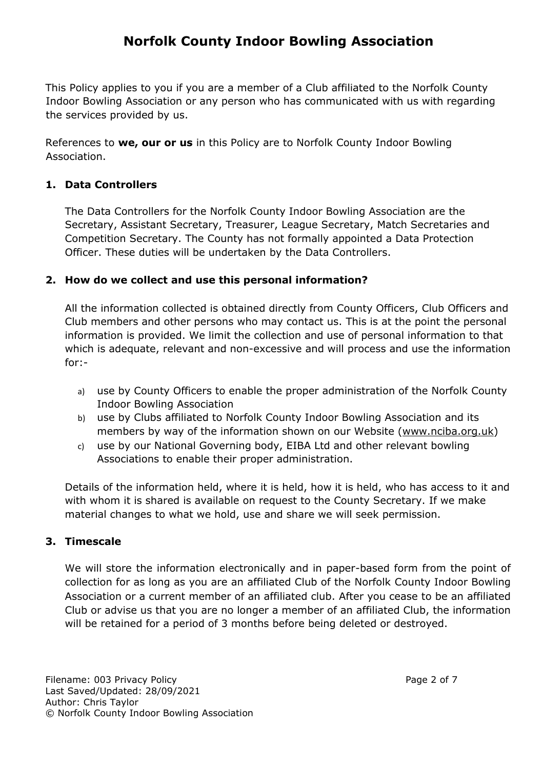This Policy applies to you if you are a member of a Club affiliated to the Norfolk County Indoor Bowling Association or any person who has communicated with us with regarding the services provided by us.

References to **we, our or us** in this Policy are to Norfolk County Indoor Bowling Association.

### **1. Data Controllers**

The Data Controllers for the Norfolk County Indoor Bowling Association are the Secretary, Assistant Secretary, Treasurer, League Secretary, Match Secretaries and Competition Secretary. The County has not formally appointed a Data Protection Officer. These duties will be undertaken by the Data Controllers.

### **2. How do we collect and use this personal information?**

All the information collected is obtained directly from County Officers, Club Officers and Club members and other persons who may contact us. This is at the point the personal information is provided. We limit the collection and use of personal information to that which is adequate, relevant and non-excessive and will process and use the information for:-

- a) use by County Officers to enable the proper administration of the Norfolk County Indoor Bowling Association
- b) use by Clubs affiliated to Norfolk County Indoor Bowling Association and its members by way of the information shown on our Website (www.nciba.org.uk)
- c) use by our National Governing body, EIBA Ltd and other relevant bowling Associations to enable their proper administration.

Details of the information held, where it is held, how it is held, who has access to it and with whom it is shared is available on request to the County Secretary. If we make material changes to what we hold, use and share we will seek permission.

### **3. Timescale**

We will store the information electronically and in paper-based form from the point of collection for as long as you are an affiliated Club of the Norfolk County Indoor Bowling Association or a current member of an affiliated club. After you cease to be an affiliated Club or advise us that you are no longer a member of an affiliated Club, the information will be retained for a period of 3 months before being deleted or destroyed.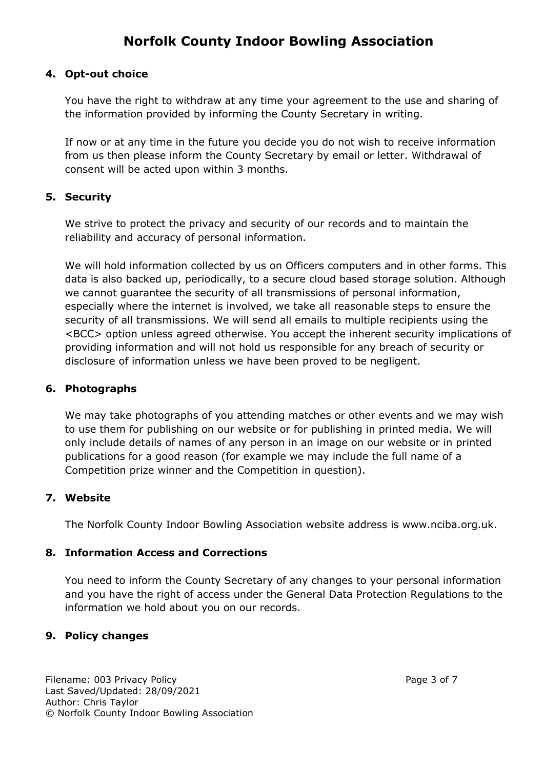### **4. Opt-out choice**

You have the right to withdraw at any time your agreement to the use and sharing of the information provided by informing the County Secretary in writing.

If now or at any time in the future you decide you do not wish to receive information from us then please inform the County Secretary by email or letter. Withdrawal of consent will be acted upon within 3 months.

### **5. Security**

We strive to protect the privacy and security of our records and to maintain the reliability and accuracy of personal information.

We will hold information collected by us on Officers computers and in other forms. This data is also backed up, periodically, to a secure cloud based storage solution. Although we cannot guarantee the security of all transmissions of personal information, especially where the internet is involved, we take all reasonable steps to ensure the security of all transmissions. We will send all emails to multiple recipients using the <BCC> option unless agreed otherwise. You accept the inherent security implications of providing information and will not hold us responsible for any breach of security or disclosure of information unless we have been proved to be negligent.

### **6. Photographs**

We may take photographs of you attending matches or other events and we may wish to use them for publishing on our website or for publishing in printed media. We will only include details of names of any person in an image on our website or in printed publications for a good reason (for example we may include the full name of a Competition prize winner and the Competition in question).

### **7. Website**

The Norfolk County Indoor Bowling Association website address is www.nciba.org.uk.

### **8. Information Access and Corrections**

You need to inform the County Secretary of any changes to your personal information and you have the right of access under the General Data Protection Regulations to the information we hold about you on our records.

### **9. Policy changes**

Filename: 003 Privacy Policy **Page 3 of 7** and 2011 11 and 2012 12:00 Page 3 of 7 Last Saved/Updated: 28/09/2021 Author: Chris Taylor © Norfolk County Indoor Bowling Association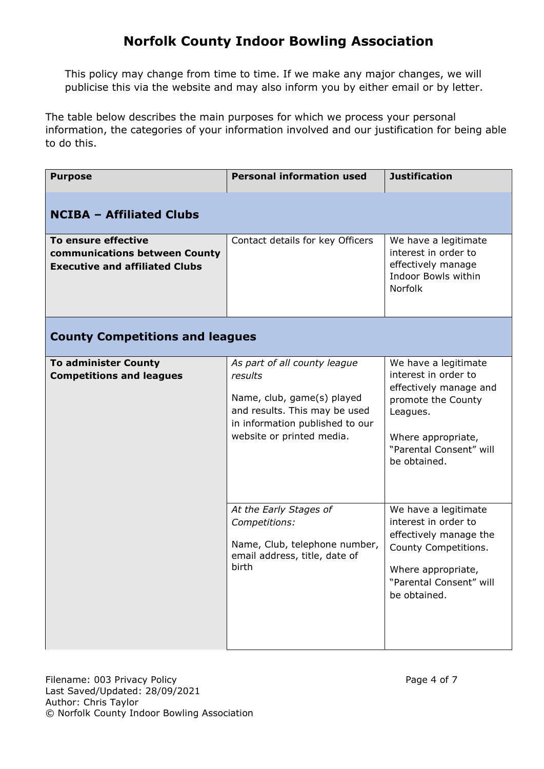This policy may change from time to time. If we make any major changes, we will publicise this via the website and may also inform you by either email or by letter.

The table below describes the main purposes for which we process your personal information, the categories of your information involved and our justification for being able to do this.

| <b>Purpose</b>                                                                                | <b>Personal information used</b>                                                                                                                                       | <b>Justification</b>                                                                                                                                                      |  |  |
|-----------------------------------------------------------------------------------------------|------------------------------------------------------------------------------------------------------------------------------------------------------------------------|---------------------------------------------------------------------------------------------------------------------------------------------------------------------------|--|--|
| <b>NCIBA - Affiliated Clubs</b>                                                               |                                                                                                                                                                        |                                                                                                                                                                           |  |  |
| To ensure effective<br>communications between County<br><b>Executive and affiliated Clubs</b> | Contact details for key Officers                                                                                                                                       | We have a legitimate<br>interest in order to<br>effectively manage<br>Indoor Bowls within<br><b>Norfolk</b>                                                               |  |  |
| <b>County Competitions and leagues</b>                                                        |                                                                                                                                                                        |                                                                                                                                                                           |  |  |
| <b>To administer County</b><br><b>Competitions and leagues</b>                                | As part of all county league<br>results<br>Name, club, game(s) played<br>and results. This may be used<br>in information published to our<br>website or printed media. | We have a legitimate<br>interest in order to<br>effectively manage and<br>promote the County<br>Leagues.<br>Where appropriate,<br>"Parental Consent" will<br>be obtained. |  |  |
|                                                                                               | At the Early Stages of<br>Competitions:<br>Name, Club, telephone number,<br>email address, title, date of<br>birth                                                     | We have a legitimate<br>interest in order to<br>effectively manage the<br>County Competitions.<br>Where appropriate,<br>"Parental Consent" will<br>be obtained.           |  |  |

Filename: 003 Privacy Policy **Page 4 of 7** Page 4 of 7 Last Saved/Updated: 28/09/2021 Author: Chris Taylor © Norfolk County Indoor Bowling Association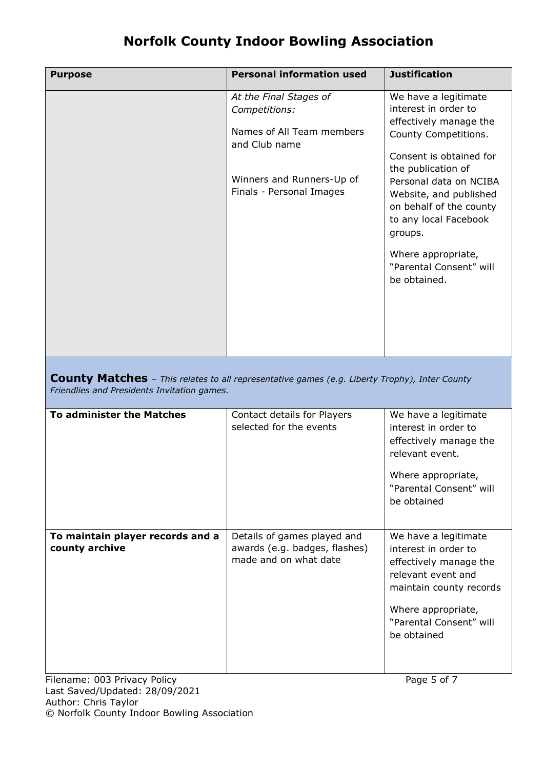| <b>Purpose</b> | <b>Personal information used</b>                                                                                                               | <b>Justification</b>                                                                                                                                                                                                                                               |
|----------------|------------------------------------------------------------------------------------------------------------------------------------------------|--------------------------------------------------------------------------------------------------------------------------------------------------------------------------------------------------------------------------------------------------------------------|
|                | At the Final Stages of<br>Competitions:<br>Names of All Team members<br>and Club name<br>Winners and Runners-Up of<br>Finals - Personal Images | We have a legitimate<br>interest in order to<br>effectively manage the<br>County Competitions.<br>Consent is obtained for<br>the publication of<br>Personal data on NCIBA<br>Website, and published<br>on behalf of the county<br>to any local Facebook<br>groups. |
|                |                                                                                                                                                | Where appropriate,<br>"Parental Consent" will<br>be obtained.                                                                                                                                                                                                      |

**County Matches** – *This relates to all representative games (e.g. Liberty Trophy), Inter County Friendlies and Presidents Invitation games.* 

| <b>To administer the Matches</b>                   | Contact details for Players<br>selected for the events                                | We have a legitimate<br>interest in order to<br>effectively manage the<br>relevant event.<br>Where appropriate,<br>"Parental Consent" will<br>be obtained                               |
|----------------------------------------------------|---------------------------------------------------------------------------------------|-----------------------------------------------------------------------------------------------------------------------------------------------------------------------------------------|
| To maintain player records and a<br>county archive | Details of games played and<br>awards (e.g. badges, flashes)<br>made and on what date | We have a legitimate<br>interest in order to<br>effectively manage the<br>relevant event and<br>maintain county records<br>Where appropriate,<br>"Parental Consent" will<br>be obtained |

Filename: 003 Privacy Policy **Page 5 of 7** Page 5 of 7 Last Saved/Updated: 28/09/2021 Author: Chris Taylor © Norfolk County Indoor Bowling Association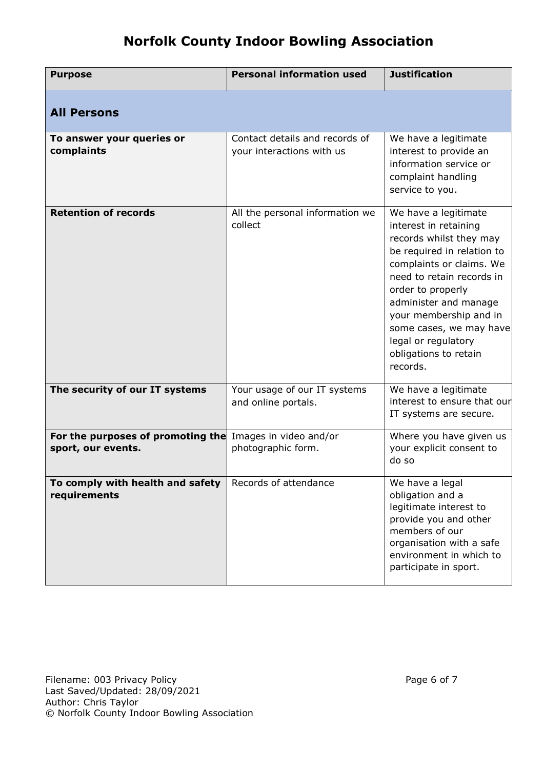| <b>Purpose</b>                                                                 | <b>Personal information used</b>                            | <b>Justification</b>                                                                                                                                                                                                                                                                                                           |
|--------------------------------------------------------------------------------|-------------------------------------------------------------|--------------------------------------------------------------------------------------------------------------------------------------------------------------------------------------------------------------------------------------------------------------------------------------------------------------------------------|
| <b>All Persons</b>                                                             |                                                             |                                                                                                                                                                                                                                                                                                                                |
| To answer your queries or<br>complaints                                        | Contact details and records of<br>your interactions with us | We have a legitimate<br>interest to provide an<br>information service or<br>complaint handling<br>service to you.                                                                                                                                                                                                              |
| <b>Retention of records</b>                                                    | All the personal information we<br>collect                  | We have a legitimate<br>interest in retaining<br>records whilst they may<br>be required in relation to<br>complaints or claims. We<br>need to retain records in<br>order to properly<br>administer and manage<br>your membership and in<br>some cases, we may have<br>legal or regulatory<br>obligations to retain<br>records. |
| The security of our IT systems                                                 | Your usage of our IT systems<br>and online portals.         | We have a legitimate<br>interest to ensure that our<br>IT systems are secure.                                                                                                                                                                                                                                                  |
| For the purposes of promoting the Images in video and/or<br>sport, our events. | photographic form.                                          | Where you have given us<br>your explicit consent to<br>do so                                                                                                                                                                                                                                                                   |
| To comply with health and safety<br>requirements                               | Records of attendance                                       | We have a legal<br>obligation and a<br>legitimate interest to<br>provide you and other<br>members of our<br>organisation with a safe<br>environment in which to<br>participate in sport.                                                                                                                                       |